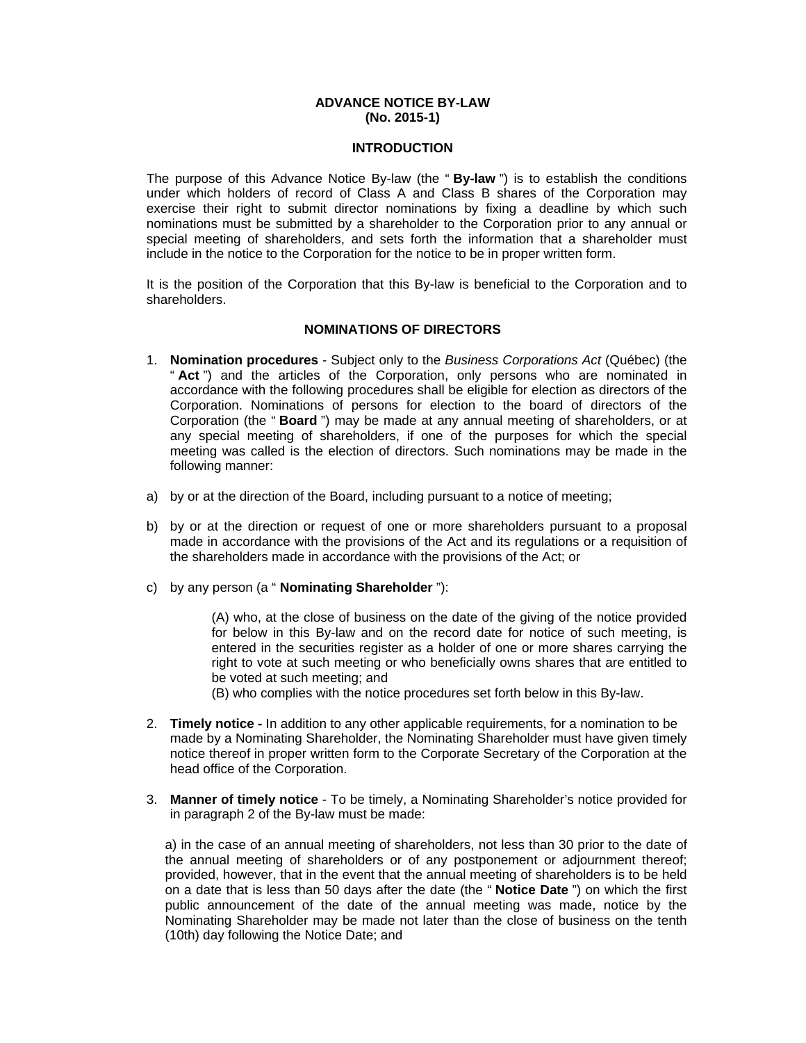## **ADVANCE NOTICE BY-LAW (No. 2015-1)**

## **INTRODUCTION**

The purpose of this Advance Notice By-law (the " **By-law** ") is to establish the conditions under which holders of record of Class A and Class B shares of the Corporation may exercise their right to submit director nominations by fixing a deadline by which such nominations must be submitted by a shareholder to the Corporation prior to any annual or special meeting of shareholders, and sets forth the information that a shareholder must include in the notice to the Corporation for the notice to be in proper written form.

It is the position of the Corporation that this By-law is beneficial to the Corporation and to shareholders.

## **NOMINATIONS OF DIRECTORS**

- 1. **Nomination procedures** Subject only to the *Business Corporations Act* (Québec) (the " **Act** ") and the articles of the Corporation, only persons who are nominated in accordance with the following procedures shall be eligible for election as directors of the Corporation. Nominations of persons for election to the board of directors of the Corporation (the " **Board** ") may be made at any annual meeting of shareholders, or at any special meeting of shareholders, if one of the purposes for which the special meeting was called is the election of directors. Such nominations may be made in the following manner:
- a) by or at the direction of the Board, including pursuant to a notice of meeting;
- b) by or at the direction or request of one or more shareholders pursuant to a proposal made in accordance with the provisions of the Act and its regulations or a requisition of the shareholders made in accordance with the provisions of the Act; or
- c) by any person (a " **Nominating Shareholder** "):

(A) who, at the close of business on the date of the giving of the notice provided for below in this By-law and on the record date for notice of such meeting, is entered in the securities register as a holder of one or more shares carrying the right to vote at such meeting or who beneficially owns shares that are entitled to be voted at such meeting; and

(B) who complies with the notice procedures set forth below in this By-law.

- 2. **Timely notice** In addition to any other applicable requirements, for a nomination to be made by a Nominating Shareholder, the Nominating Shareholder must have given timely notice thereof in proper written form to the Corporate Secretary of the Corporation at the head office of the Corporation.
- 3. **Manner of timely notice** To be timely, a Nominating Shareholder's notice provided for in paragraph 2 of the By-law must be made:

a) in the case of an annual meeting of shareholders, not less than 30 prior to the date of the annual meeting of shareholders or of any postponement or adjournment thereof; provided, however, that in the event that the annual meeting of shareholders is to be held on a date that is less than 50 days after the date (the " **Notice Date** ") on which the first public announcement of the date of the annual meeting was made, notice by the Nominating Shareholder may be made not later than the close of business on the tenth (10th) day following the Notice Date; and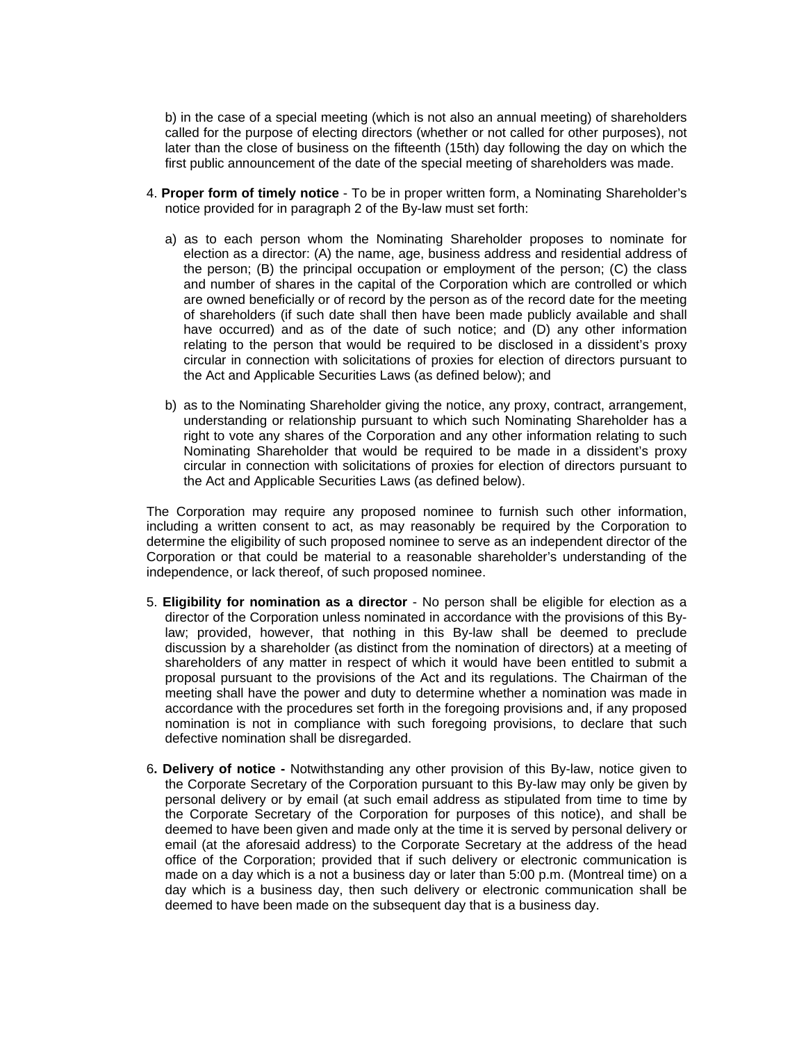b) in the case of a special meeting (which is not also an annual meeting) of shareholders called for the purpose of electing directors (whether or not called for other purposes), not later than the close of business on the fifteenth (15th) day following the day on which the first public announcement of the date of the special meeting of shareholders was made.

- 4. **Proper form of timely notice** To be in proper written form, a Nominating Shareholder's notice provided for in paragraph 2 of the By-law must set forth:
	- a) as to each person whom the Nominating Shareholder proposes to nominate for election as a director: (A) the name, age, business address and residential address of the person; (B) the principal occupation or employment of the person; (C) the class and number of shares in the capital of the Corporation which are controlled or which are owned beneficially or of record by the person as of the record date for the meeting of shareholders (if such date shall then have been made publicly available and shall have occurred) and as of the date of such notice; and (D) any other information relating to the person that would be required to be disclosed in a dissident's proxy circular in connection with solicitations of proxies for election of directors pursuant to the Act and Applicable Securities Laws (as defined below); and
	- b) as to the Nominating Shareholder giving the notice, any proxy, contract, arrangement, understanding or relationship pursuant to which such Nominating Shareholder has a right to vote any shares of the Corporation and any other information relating to such Nominating Shareholder that would be required to be made in a dissident's proxy circular in connection with solicitations of proxies for election of directors pursuant to the Act and Applicable Securities Laws (as defined below).

The Corporation may require any proposed nominee to furnish such other information, including a written consent to act, as may reasonably be required by the Corporation to determine the eligibility of such proposed nominee to serve as an independent director of the Corporation or that could be material to a reasonable shareholder's understanding of the independence, or lack thereof, of such proposed nominee.

- 5. **Eligibility for nomination as a director** No person shall be eligible for election as a director of the Corporation unless nominated in accordance with the provisions of this Bylaw; provided, however, that nothing in this By-law shall be deemed to preclude discussion by a shareholder (as distinct from the nomination of directors) at a meeting of shareholders of any matter in respect of which it would have been entitled to submit a proposal pursuant to the provisions of the Act and its regulations. The Chairman of the meeting shall have the power and duty to determine whether a nomination was made in accordance with the procedures set forth in the foregoing provisions and, if any proposed nomination is not in compliance with such foregoing provisions, to declare that such defective nomination shall be disregarded.
- 6**. Delivery of notice** Notwithstanding any other provision of this By-law, notice given to the Corporate Secretary of the Corporation pursuant to this By-law may only be given by personal delivery or by email (at such email address as stipulated from time to time by the Corporate Secretary of the Corporation for purposes of this notice), and shall be deemed to have been given and made only at the time it is served by personal delivery or email (at the aforesaid address) to the Corporate Secretary at the address of the head office of the Corporation; provided that if such delivery or electronic communication is made on a day which is a not a business day or later than 5:00 p.m. (Montreal time) on a day which is a business day, then such delivery or electronic communication shall be deemed to have been made on the subsequent day that is a business day.